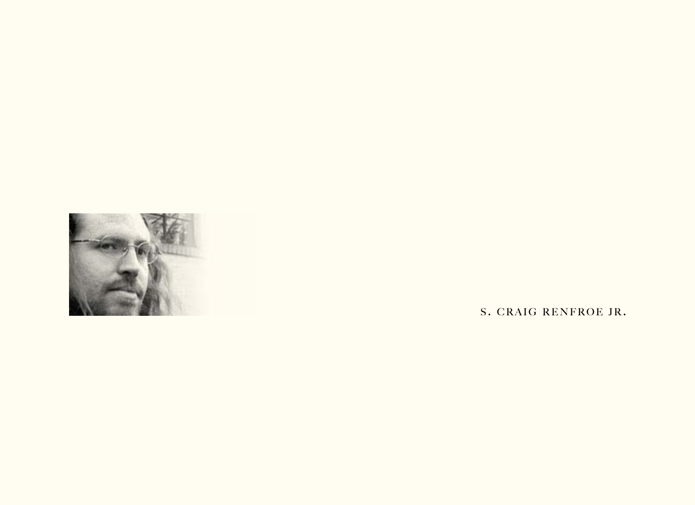

S. CRAIG RENFROE JR.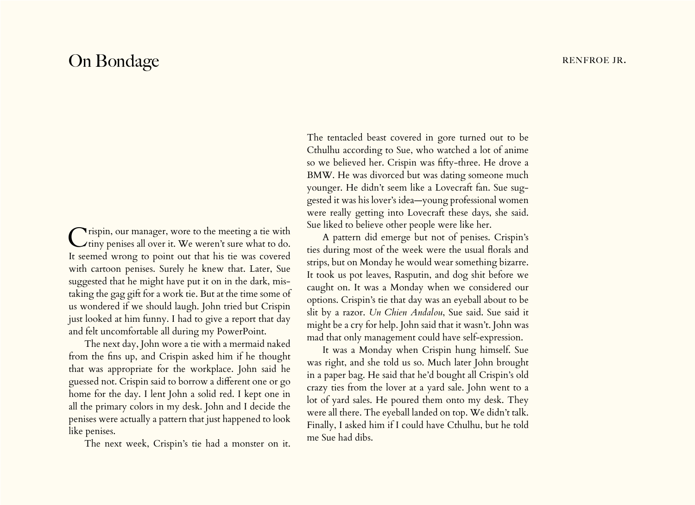## On Bondage Renfroe JR.

Crispin, our manager, wore to the meeting a tie with tiny penises all over it. We weren't sure what to do. It seemed wrong to point out that his tie was covered with cartoon penises. Surely he knew that. Later, Sue suggested that he might have put it on in the dark, mistaking the gag gift for a work tie. But at the time some of us wondered if we should laugh. John tried but Crispin just looked at him funny. I had to give a report that day and felt uncomfortable all during my PowerPoint.

The next day, John wore a tie with a mermaid naked from the fins up, and Crispin asked him if he thought that was appropriate for the workplace. John said he guessed not. Crispin said to borrow a different one or go home for the day. I lent John a solid red. I kept one in all the primary colors in my desk. John and I decide the penises were actually a pattern that just happened to look like penises.

The next week, Crispin's tie had a monster on it.

The tentacled beast covered in gore turned out to be Cthulhu according to Sue, who watched a lot of anime so we believed her. Crispin was fifty-three. He drove a BMW. He was divorced but was dating someone much younger. He didn't seem like a Lovecraft fan. Sue suggested it was his lover's idea—young professional women were really getting into Lovecraft these days, she said. Sue liked to believe other people were like her.

A pattern did emerge but not of penises. Crispin's ties during most of the week were the usual florals and strips, but on Monday he would wear something bizarre. It took us pot leaves, Rasputin, and dog shit before we caught on. It was a Monday when we considered our options. Crispin's tie that day was an eyeball about to be slit by a razor. *Un Chien Andalou*, Sue said. Sue said it might be a cry for help. John said that it wasn't. John was mad that only management could have self-expression.

It was a Monday when Crispin hung himself. Sue was right, and she told us so. Much later John brought in a paper bag. He said that he'd bought all Crispin's old crazy ties from the lover at a yard sale. John went to a lot of yard sales. He poured them onto my desk. They were all there. The eyeball landed on top. We didn't talk. Finally, I asked him if I could have Cthulhu, but he told me Sue had dibs.